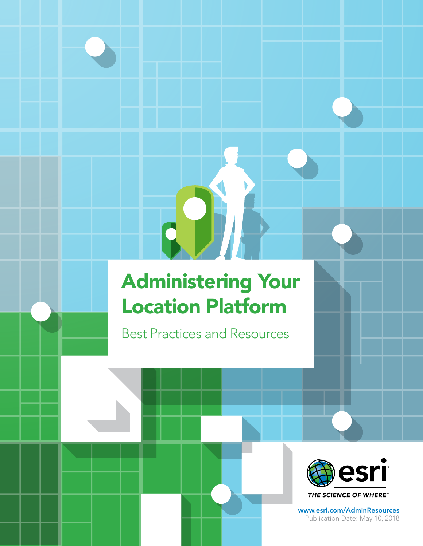# Administering Your Location Platform

Q.

Best Practices and Resources



THE SCIENCE OF WHERE"

[www.esri.com/AdminResources](http://www.esri.com/AdminResources) Publication Date: May 10, 2018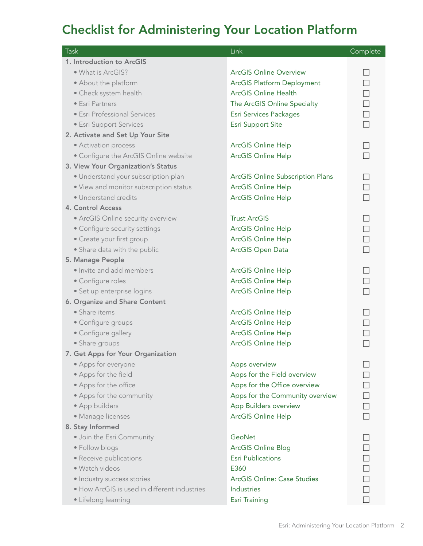### Checklist for Administering Your Location Platform

| Task                                         | Link                                    | Complete |
|----------------------------------------------|-----------------------------------------|----------|
| 1. Introduction to ArcGIS                    |                                         |          |
| · What is ArcGIS?                            | <b>ArcGIS Online Overview</b>           |          |
| • About the platform                         | <b>ArcGIS Platform Deployment</b>       |          |
| • Check system health                        | <b>ArcGIS Online Health</b>             |          |
| • Esri Partners                              | The ArcGIS Online Specialty             | $\Box$   |
| • Esri Professional Services                 | Esri Services Packages                  | $\Box$   |
| • Esri Support Services                      | <b>Esri Support Site</b>                | $\Box$   |
| 2. Activate and Set Up Your Site             |                                         |          |
| • Activation process                         | <b>ArcGIS Online Help</b>               |          |
| • Configure the ArcGIS Online website        | <b>ArcGIS Online Help</b>               |          |
| 3. View Your Organization's Status           |                                         |          |
| · Understand your subscription plan          | <b>ArcGIS Online Subscription Plans</b> | $\Box$   |
| • View and monitor subscription status       | ArcGIS Online Help                      | $\Box$   |
| · Understand credits                         | <b>ArcGIS Online Help</b>               | П        |
| 4. Control Access                            |                                         |          |
| • ArcGIS Online security overview            | <b>Trust ArcGIS</b>                     |          |
| • Configure security settings                | <b>ArcGIS Online Help</b>               |          |
| • Create your first group                    | <b>ArcGIS Online Help</b>               |          |
| • Share data with the public                 | <b>ArcGIS Open Data</b>                 |          |
| 5. Manage People                             |                                         |          |
| · Invite and add members                     | <b>ArcGIS Online Help</b>               |          |
| • Configure roles                            | <b>ArcGIS Online Help</b>               |          |
| · Set up enterprise logins                   | <b>ArcGIS Online Help</b>               |          |
| 6. Organize and Share Content                |                                         |          |
| • Share items                                | <b>ArcGIS Online Help</b>               |          |
| • Configure groups                           | <b>ArcGIS Online Help</b>               |          |
| • Configure gallery                          | ArcGIS Online Help                      |          |
| • Share groups                               | ArcGIS Online Help                      |          |
| 7. Get Apps for Your Organization            |                                         |          |
| • Apps for everyone                          | Apps overview                           |          |
| • Apps for the field                         | Apps for the Field overview             |          |
| • Apps for the office                        | Apps for the Office overview            |          |
| • Apps for the community                     | Apps for the Community overview         |          |
| • App builders                               | App Builders overview                   | $\Box$   |
| · Manage licenses                            | <b>ArcGIS Online Help</b>               |          |
| 8. Stay Informed                             |                                         |          |
| · Join the Esri Community                    | GeoNet                                  |          |
| • Follow blogs                               | <b>ArcGIS Online Blog</b>               |          |
| • Receive publications                       | <b>Esri Publications</b>                |          |
| · Watch videos                               | E360                                    |          |
| · Industry success stories                   | <b>ArcGIS Online: Case Studies</b>      |          |
| · How ArcGIS is used in different industries | <b>Industries</b>                       |          |
| • Lifelong learning                          | <b>Esri Training</b>                    |          |
|                                              |                                         |          |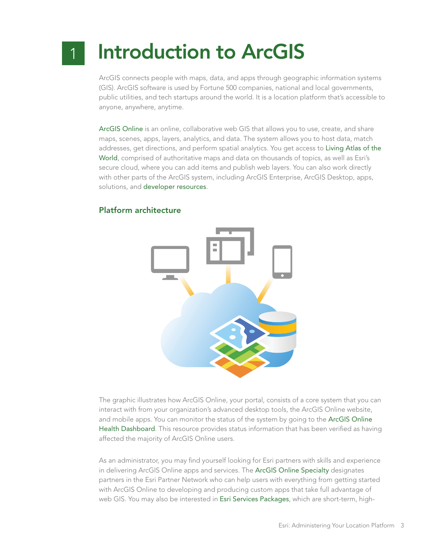### Introduction to ArcGIS 1

ArcGIS connects people with maps, data, and apps through geographic information systems (GIS). ArcGIS software is used by Fortune 500 companies, national and local governments, public utilities, and tech startups around the world. It is a location platform that's accessible to anyone, anywhere, anytime.

[ArcGIS Online](http://www.arcgis.com/features/index.html) is an online, collaborative web GIS that allows you to use, create, and share maps, scenes, apps, layers, analytics, and data. The system allows you to host data, match addresses, get directions, and perform spatial analytics. You get access to [Living Atlas of the](http://doc.arcgis.com/en/living-atlas/about/)  [World](http://doc.arcgis.com/en/living-atlas/about/), comprised of authoritative maps and data on thousands of topics, as well as Esri's secure cloud, where you can add items and publish web layers. You can also work directly with other parts of the ArcGIS system, including ArcGIS Enterprise, ArcGIS Desktop, apps, solutions, and [developer resources](https://developers.arcgis.com/).

#### Platform architecture



The graphic illustrates how ArcGIS Online, your portal, consists of a core system that you can interact with from your organization's advanced desktop tools, the ArcGIS Online website, and mobile apps. You can monitor the status of the system by going to the [ArcGIS Online](http://doc.arcgis.com/en/trust/system-status/)  [Health Dashboard](http://doc.arcgis.com/en/trust/system-status/). This resource provides status information that has been verified as having affected the majority of ArcGIS Online users.

As an administrator, you may find yourself looking for Esri partners with skills and experience in delivering ArcGIS Online apps and services. The [ArcGIS Online Specialty](http://epn.maps.arcgis.com/apps/MapTour/index.html?appid=fe7a4f2b7ccb40da9675d3cb0e9c228e&webmap=01733744aecc4b68835a04d349432013) designates partners in the Esri Partner Network who can help users with everything from getting started with ArcGIS Online to developing and producing custom apps that take full advantage of web GIS. You may also be interested in [Esri Services Packages](https://www.esri.com/~/media/Files/Pdfs/library/fliers/pdfs/esri-services-packages.pdf), which are short-term, high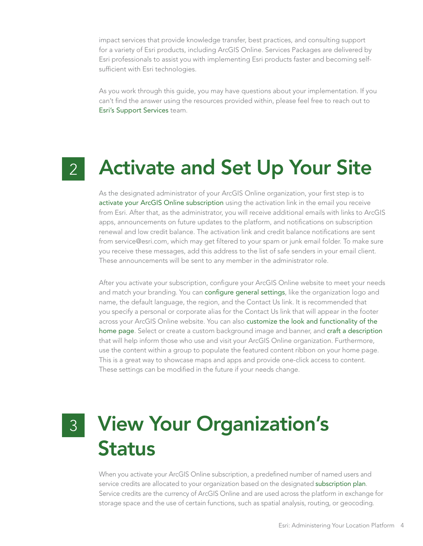impact services that provide knowledge transfer, best practices, and consulting support for a variety of Esri products, including ArcGIS Online. Services Packages are delivered by Esri professionals to assist you with implementing Esri products faster and becoming selfsufficient with Esri technologies.

As you work through this guide, you may have questions about your implementation. If you can't find the answer using the resources provided within, please feel free to reach out to [Esri's Support Services](http://support.esri.com/) team.

# 2 Activate and Set Up Your Site

As the designated administrator of your ArcGIS Online organization, your first step is to [activate your ArcGIS Online subscription](http://doc.arcgis.com/en/arcgis-online/reference/activate-subscription.htm) using the activation link in the email you receive from Esri. After that, as the administrator, you will receive additional emails with links to ArcGIS apps, announcements on future updates to the platform, and notifications on subscription renewal and low credit balance. The activation link and credit balance notifications are sent from service@esri.com, which may get filtered to your spam or junk email folder. To make sure you receive these messages, add this address to the list of safe senders in your email client. These announcements will be sent to any member in the administrator role.

After you activate your subscription, configure your ArcGIS Online website to meet your needs and match your branding. You can [configure general settings](http://doc.arcgis.com/en/arcgis-online/administer/configure-general.htm), like the organization logo and name, the default language, the region, and the Contact Us link. It is recommended that you specify a personal or corporate alias for the Contact Us link that will appear in the footer across your ArcGIS Online website. You can also [customize the look and functionality of the](http://doc.arcgis.com/en/arcgis-online/administer/configure-home.htm)  [home page](http://doc.arcgis.com/en/arcgis-online/administer/configure-home.htm). Select or create a custom background image and banner, and [craft a description](https://doc.arcgis.com/en/arcgis-online/administer/configure-general.htm) that will help inform those who use and visit your ArcGIS Online organization. Furthermore, use the content within a group to populate the featured content ribbon on your home page. This is a great way to showcase maps and apps and provide one-click access to content. These settings can be modified in the future if your needs change.

### View Your Organization's Status 3

When you activate your ArcGIS Online subscription, a predefined number of named users and service credits are allocated to your organization based on the designated [subscription plan](http://www.esri.com/software/arcgis/arcgisonline/purchase). Service credits are the currency of ArcGIS Online and are used across the platform in exchange for storage space and the use of certain functions, such as spatial analysis, routing, or geocoding.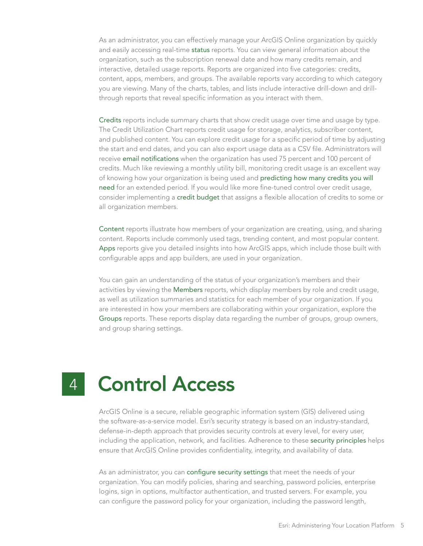As an administrator, you can effectively manage your ArcGIS Online organization by quickly and easily accessing real-time [status](https://doc.arcgis.com/en/arcgis-online/administer/view-status.htm) reports. You can view general information about the organization, such as the subscription renewal date and how many credits remain, and interactive, detailed usage reports. Reports are organized into five categories: credits, content, apps, members, and groups. The available reports vary according to which category you are viewing. Many of the charts, tables, and lists include interactive drill-down and drillthrough reports that reveal specific information as you interact with them.

[Credits](https://doc.arcgis.com/en/arcgis-online/administer/view-status.htm#ESRI_SECTION1_1D001100A7A24CDF85A09169E0A424ED) reports include summary charts that show credit usage over time and usage by type. The Credit Utilization Chart reports credit usage for storage, analytics, subscriber content, and published content. You can explore credit usage for a specific period of time by adjusting the start and end dates, and you can also export usage data as a CSV file. Administrators will receive [email notifications](http://doc.arcgis.com/en/arcgis-online/reference/faq.htm#anchor17) when the organization has used 75 percent and 100 percent of credits. Much like reviewing a monthly utility bill, monitoring credit usage is an excellent way of knowing how your organization is being used and [predicting how many credits you will](http://links.esri.com/agol-help/credits)  [need](http://links.esri.com/agol-help/credits) for an extended period. If you would like more fine-tuned control over credit usage, consider implementing a [credit budget](http://doc.arcgis.com/en/arcgis-online/administer/configure-credits.htm) that assigns a flexible allocation of credits to some or all organization members.

[Content](https://doc.arcgis.com/en/arcgis-online/administer/view-status.htm#ESRI_SECTION1_8B1AAF035D694FB9BB81DF5468970CE1) reports illustrate how members of your organization are creating, using, and sharing content. Reports include commonly used tags, trending content, and most popular content. [Apps](https://doc.arcgis.com/en/arcgis-online/administer/view-status.htm#ESRI_SECTION1_30D0DCB20E7C498BB22F474CAAADCD9E) reports give you detailed insights into how ArcGIS apps, which include those built with configurable apps and app builders, are used in your organization.

You can gain an understanding of the status of your organization's members and their activities by viewing the [Members](https://doc.arcgis.com/en/arcgis-online/administer/view-status.htm#ESRI_SECTION1_106A2FD78308454EBF706A9DB267016D) reports, which display members by role and credit usage, as well as utilization summaries and statistics for each member of your organization. If you are interested in how your members are collaborating within your organization, explore the [Groups](https://doc.arcgis.com/en/arcgis-online/administer/view-status.htm#ESRI_SECTION1_DF7AB8B322694CDD9B62202F301A6554) reports. These reports display data regarding the number of groups, group owners, and group sharing settings.

#### Control Access 4

ArcGIS Online is a secure, reliable geographic information system (GIS) delivered using the software-as-a-service model. Esri's security strategy is based on an industry-standard, defense-in-depth approach that provides security controls at every level, for every user, including the application, network, and facilities. Adherence to these [security principles](http://doc.arcgis.com/en/trust/security/arcgis-online-security.htm.#ESRI_SECTION1_8D91ECCB404E4CCF90B12A395F768EC1) helps ensure that ArcGIS Online provides confidentiality, integrity, and availability of data.

As an administrator, you can [configure security settings](http://doc.arcgis.com/en/arcgis-online/administer/configure-security.htm) that meet the needs of your organization. You can modify policies, sharing and searching, password policies, enterprise logins, sign in options, multifactor authentication, and trusted servers. For example, you can configure the password policy for your organization, including the password length,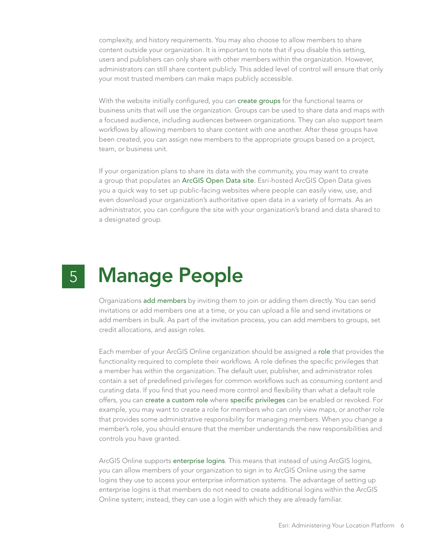complexity, and history requirements. You may also choose to allow members to share content outside your organization. It is important to note that if you disable this setting, users and publishers can only share with other members within the organization. However, administrators can still share content publicly. This added level of control will ensure that only your most trusted members can make maps publicly accessible.

With the website initially configured, you can [create groups](http://doc.arcgis.com/en/arcgis-online/share-maps/make-your-first-group.htm) for the functional teams or business units that will use the organization. Groups can be used to share data and maps with a focused audience, including audiences between organizations. They can also support team workflows by allowing members to share content with one another. After these groups have been created, you can assign new members to the appropriate groups based on a project, team, or business unit.

If your organization plans to share its data with the community, you may want to create a group that populates an [ArcGIS Open Data site](http://opendata.arcgis.com/about). Esri-hosted ArcGIS Open Data gives you a quick way to set up public-facing websites where people can easily view, use, and even download your organization's authoritative open data in a variety of formats. As an administrator, you can configure the site with your organization's brand and data shared to a designated group.

#### Manage People 5

Organizations [add members](http://doc.arcgis.com/en/arcgis-online/administer/invite-users.htm) by inviting them to join or adding them directly. You can send invitations or add members one at a time, or you can upload a file and send invitations or add members in bulk. As part of the invitation process, you can add members to groups, set credit allocations, and assign roles.

Each member of your ArcGIS Online organization should be assigned a [role](http://doc.arcgis.com/en/arcgis-online/reference/roles.htm) that provides the functionality required to complete their workflows. A role defines the specific privileges that a member has within the organization. The default user, publisher, and administrator roles contain a set of predefined privileges for common workflows such as consuming content and curating data. If you find that you need more control and flexibility than what a default role offers, you can [create a custom role](http://doc.arcgis.com/en/arcgis-online/administer/configure-roles.htm) where [specific privileges](http://doc.arcgis.com/en/arcgis-online/reference/roles.htm#ESRI_SECTION1_7071F89DE04B448CA833A4164A98DF94) can be enabled or revoked. For example, you may want to create a role for members who can only view maps, or another role that provides some administrative responsibility for managing members. When you change a member's role, you should ensure that the member understands the new responsibilities and controls you have granted.

ArcGIS Online supports [enterprise logins](http://doc.arcgis.com/en/arcgis-online/administer/enterprise-logins.htm). This means that instead of using ArcGIS logins, you can allow members of your organization to sign in to ArcGIS Online using the same logins they use to access your enterprise information systems. The advantage of setting up enterprise logins is that members do not need to create additional logins within the ArcGIS Online system; instead, they can use a login with which they are already familiar.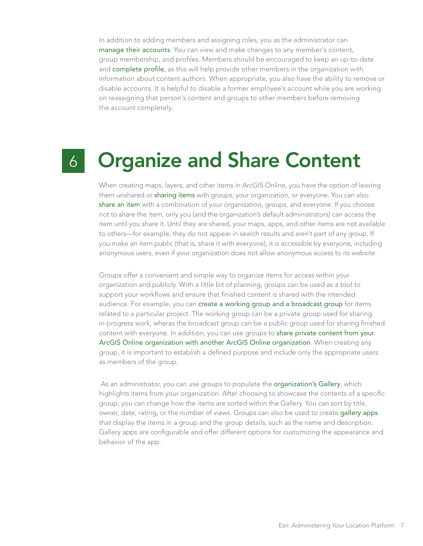In addition to adding members and assigning roles, you as the administrator can [manage their accounts](http://doc.arcgis.com/en/arcgis-online/administer/manage-members.htm). You can view and make changes to any member's content, group membership, and profiles. Members should be encouraged to keep an up-to-date and [complete profile](http://doc.arcgis.com/en/arcgis-online/reference/profile.htm), as this will help provide other members in the organization with information about content authors. When appropriate, you also have the ability to remove or disable accounts. It is helpful to disable a former employee's account while you are working on reassigning that person's content and groups to other members before removing the account completely.

## 6

# Organize and Share Content

When creating maps, layers, and other items in ArcGIS Online, you have the option of leaving them unshared or [sharing items](http://doc.arcgis.com/en/arcgis-online/share-maps/share-maps-apps.htm) with groups, your organization, or everyone. You can also [share an item](http://doc.arcgis.com/en/arcgis-online/share-maps/share-items.htm) with a combination of your organization, groups, and everyone. If you choose not to share the item, only you (and the organization's default administrators) can access the item until you share it. Until they are shared, your maps, apps, and other items are not available to others—for example, they do not appear in search results and aren't part of any group. If you make an item public (that is, share it with everyone), it is accessible by everyone, including anonymous users, even if your organization does not allow anonymous access to its website.

Groups offer a convenient and simple way to organize items for access within your organization and publicly. With a little bit of planning, groups can be used as a tool to support your workflows and ensure that finished content is shared with the intended audience. For example, you can [create a working group and a broadcast group](https://doc.arcgis.com/en/arcgis-online/administer/configure-groups.htm) for items related to a particular project. The working group can be a private group used for sharing in-progress work, wheras the broadcast group can be a public group used for sharing finished content with everyone. In addition, you can use groups to [share private content from your](https://blogs.esri.com/esri/arcgis/2016/07/25/sharing-content-privately-between-organizations/)  [ArcGIS Online organization with another ArcGIS Online organization](https://blogs.esri.com/esri/arcgis/2016/07/25/sharing-content-privately-between-organizations/). When creating any group, it is important to establish a defined purpose and include only the appropriate users as members of the group.

 As an administrator, you can use groups to populate the [organization's Gallery](http://doc.arcgis.com/en/arcgis-online/administer/configure-gallery.htm), which highlights items from your organization. After choosing to showcase the contents of a specific group, you can change how the items are sorted within the Gallery. You can sort by title, owner, date, rating, or the number of views. Groups can also be used to create [gallery apps](http://doc.arcgis.com/en/arcgis-online/create-maps/create-gallery-apps.htm) that display the items in a group and the group details, such as the name and description. Gallery apps are configurable and offer different options for customizing the appearance and behavior of the app.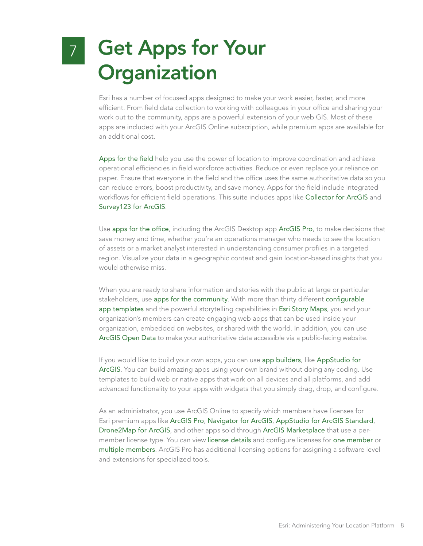### Get Apps for Your **Organization** 7

Esri has a number of focused apps designed to make your work easier, faster, and more efficient. From field data collection to working with colleagues in your office and sharing your work out to the community, apps are a powerful extension of your web GIS. Most of these apps are included with your ArcGIS Online subscription, while premium apps are available for an additional cost.

[Apps for the field](http://www.esri.com/software/apps/field) help you use the power of location to improve coordination and achieve operational efficiencies in field workforce activities. Reduce or even replace your reliance on paper. Ensure that everyone in the field and the office uses the same authoritative data so you can reduce errors, boost productivity, and save money. Apps for the field include integrated workflows for efficient field operations. This suite includes apps like [Collector for ArcGIS](http://www.esri.com/products/collector-for-arcgis) and [Survey123 for ArcGIS](http://www.esri.com/products/survey123).

Use [apps for the office](http://www.esri.com/software/apps/office), including the ArcGIS Desktop app [ArcGIS Pro](http://www.esri.com/en/software/arcgis-pro), to make decisions that save money and time, whether you're an operations manager who needs to see the location of assets or a market analyst interested in understanding consumer profiles in a targeted region. Visualize your data in a geographic context and gain location-based insights that you would otherwise miss.

When you are ready to share information and stories with the public at large or particular stakeholders, use [apps for the community](http://www.esri.com/software/apps/community). With more than thirty different [configurable](http://www.esri.com/software/configurable-apps)  [app templates](http://www.esri.com/software/configurable-apps) and the powerful storytelling capabilities in [Esri Story Maps](http://storymaps.arcgis.com/en/), you and your organization's members can create engaging web apps that can be used inside your organization, embedded on websites, or shared with the world. In addition, you can use [ArcGIS Open Data](http://www.esri.com/software/arcgis/arcgisonline/arcgis-open-data) to make your authoritative data accessible via a public-facing website.

If you would like to build your own apps, you can use [app builders](http://www.esri.com/software/apps/builders), like [AppStudio for](http://appstudio.arcgis.com/)  [ArcGIS](http://appstudio.arcgis.com/). You can build amazing apps using your own brand without doing any coding. Use templates to build web or native apps that work on all devices and all platforms, and add advanced functionality to your apps with widgets that you simply drag, drop, and configure.

As an administrator, you use ArcGIS Online to specify which members have licenses for Esri premium apps like [ArcGIS Pro](http://doc.arcgis.com/en/arcgis-online/administer/manage-licenses.htm#ESRI_SECTION1_F50078A0F139469CACA669C958A86576), [Navigator for ArcGIS](http://doc.arcgis.com/en/arcgis-online/administer/manage-licenses.htm#ESRI_SECTION1_C9282762EB1F4A72BB3D8794F2E4E516), [AppStudio for ArcGIS Standard](http://doc.arcgis.com/en/arcgis-online/administer/manage-licenses.htm#ESRI_SECTION1_6F533D5A727E4301BEF2801E65319B18), [Drone2Map for ArcGIS](http://doc.arcgis.com/en/arcgis-online/administer/manage-licenses.htm#ESRI_SECTION1_30BF740BEEB74B658DD9D1D2FB7A9F8C), and other apps sold through [ArcGIS Marketplace](http://links.esri.com/agol-help/marketplace-app) that use a permember license type. You can view [license details](http://doc.arcgis.com/en/arcgis-online/administer/manage-licenses.htm#ESRI_SECTION1_B14ADE907AFE4684B46117157E3F6885) and configure licenses for [one member](http://doc.arcgis.com/en/arcgis-online/administer/manage-licenses.htm#ESRI_SECTION1_F79D5C4244154934A4E8681A4F452E6B) or [multiple members](http://doc.arcgis.com/en/arcgis-online/administer/manage-licenses.htm#ESRI_SECTION1_101F5CF022E54462AA33A517562BAE8B). ArcGIS Pro has additional licensing options for assigning a software level and extensions for specialized tools.